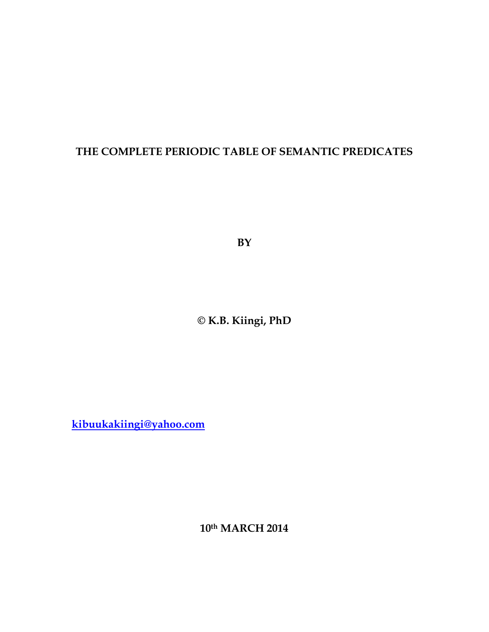## **THE COMPLETE PERIODIC TABLE OF SEMANTIC PREDICATES**

**BY** 

**© K.B. Kiingi, PhD** 

**kibuukakiingi@yahoo.com**

**10th MARCH 2014**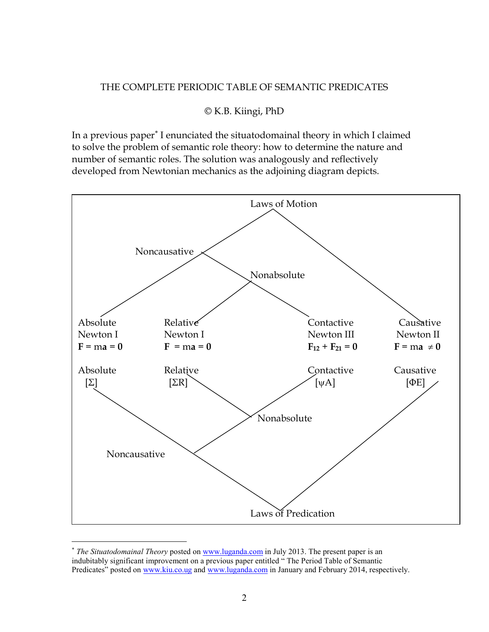## THE COMPLETE PERIODIC TABLE OF SEMANTIC PREDICATES

## © K.B. Kiingi, PhD

In a previous paper<sup>\*</sup> I enunciated the situatodomainal theory in which I claimed to solve the problem of semantic role theory: how to determine the nature and number of semantic roles. The solution was analogously and reflectively developed from Newtonian mechanics as the adjoining diagram depicts.



<sup>∗</sup> *The Situatodomainal Theory* posted on www.luganda.com in July 2013. The present paper is an indubitably significant improvement on a previous paper entitled " The Period Table of Semantic Predicates" posted on www.kiu.co.ug and www.luganda.com in January and February 2014, respectively.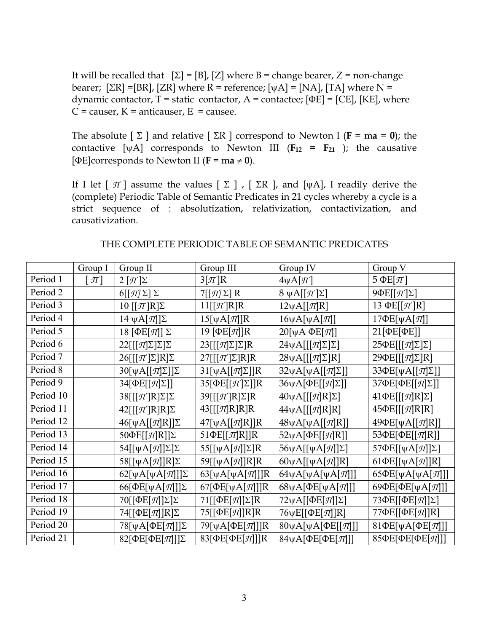It will be recalled that  $[\Sigma] = [B]$ ,  $[Z]$  where B = change bearer, Z = non-change bearer;  $[\Sigma R] = [BR]$ ,  $[ZR]$  where R = reference;  $[\psi A] = [NA]$ ,  $[TA]$  where N = dynamic contactor,  $T =$  static contactor,  $A =$  contactee;  $[\Phi E] = [CE]$ ,  $[KE]$ , where  $C$  = causer,  $K$  = anticauser,  $E$  = causee.

The absolute  $[\Sigma]$  and relative  $[\Sigma \mathbb{R}]$  correspond to Newton I (**F** = m**a** = 0); the contactive  $[\psi A]$  corresponds to Newton III ( $F_{12} = F_{21}$ ); the causative  $[ \Phi E ]$ corresponds to Newton II ( $\mathbf{F} = \mathbf{m}\mathbf{a} \neq \mathbf{0}$ ).

If I let  $\lceil \pi \rceil$  assume the values  $\lceil \Sigma \rceil$ ,  $\lceil \Sigma \Gamma \rceil$ , and  $\lceil \psi A \rceil$ , I readily derive the (complete) Periodic Table of Semantic Predicates in 21 cycles whereby a cycle is a strict sequence of : absolutization, relativization, contactivization, and causativization.

|           | Group I         | Group II                                            | Group III                               | Group IV                                   | Group V                                     |
|-----------|-----------------|-----------------------------------------------------|-----------------------------------------|--------------------------------------------|---------------------------------------------|
| Period 1  | $[\mathcal{H}]$ | $2 [\pi] \Sigma$                                    | $3[\pi]R$                               | $4\psi A[\pi]$                             | 5 $\Phi$ E[ $\pi$ ]                         |
| Period 2  |                 | $6[[\mathcal{I}]\Sigma]\Sigma$                      | $7[[\pi]\Sigma]R$                       | $8 \psi A[[\mathcal{T}] \Sigma]$           | $9\Phi$ E $[[\pi]\Sigma]$                   |
| Period 3  |                 | 10 $[$ $\pi$ <sup><math>]</math></sup> $R$ $\Sigma$ | $11[[\mathcal{T}]\mathsf{R}]\mathsf{R}$ | $12\psi A[[\pi]R]$                         | 13 $\Phi E[[\pi]R]$                         |
| Period 4  |                 | 14 $\psi$ A[π]]Σ                                    | $15[\psi A[\pi]]R$                      | $16\psi A[\psi A[\pi]]$                    | $17\Phi E[\psi A[\pi]]$                     |
| Period 5  |                 | 18 [ΦΕ[ $\pi$ ]] Σ                                  | 19 [ $\Phi$ E[ $\pi$ ]]R                | $20[\psi A \Phi E[\pi]]$                   | 21[ΦΕ[ΦΕ]]                                  |
| Period 6  |                 | $22[[[\pi]\Sigma]\Sigma]\Sigma$                     | $23[[[\pi]\Sigma]\Sigma]R$              | $24\psi A[[[\pi]\Sigma]\Sigma]$            | $25\Phi$ E[[[ $\pi$ ] $\Sigma$ ] $\Sigma$ ] |
| Period 7  |                 | $26[[[\mathcal{T}]\Sigma]\mathrm{R}]\Sigma$         | $27[[[\pi]\Sigma]R]R$                   | $28\psi A[[\mathcal{I}]\Sigma]R]$          | $29\Phi$ E[[[ $\pi$ ] $\Sigma$ ]R]          |
| Period 8  |                 | $30[\psi A[[\pi]\Sigma]]\Sigma$                     | $31[\psi A[[\pi]\Sigma]]R$              | $32\psi A[\psi A[[\pi]\Sigma]]$            | 33 $\Phi$ E[ $\psi$ A[[ $\pi$ ] $\Sigma$ ]] |
| Period 9  |                 | 34 $[\Phi E[[\pi]\Sigma]]$                          | 35[ $\Phi$ E[[ $\pi$ ] $\Sigma$ ]]R     | 36ψA[ $ΦE[[\pi]\Sigma]$ ]                  | 37ΦΕ[ΦΕ[[π]Σ]]                              |
| Period 10 |                 | $38[[[\pi]R]\Sigma]\Sigma$                          | $39[[[\pi]R]\Sigma]R$                   | $40\psi A[[\mathcal{J}R]\Sigma]$           | $41\Phi$ E[[[ $\pi$ ]R] $\Sigma$ ]          |
| Period 11 |                 | $42[[[\pi]R]R]\Sigma$                               | $43[[[\pi]R]R]R$                        | $44\psi A[[[\pi]R]R]$                      | $45\Phi$ E[[[ $\pi$ ]R]R]                   |
| Period 12 |                 | $46[\psi A[[\pi]R]]\Sigma$                          | $47[\psi A[[\pi]R]]R$                   | $48\psi A[\psi A[[\pi]R]]$                 | $49\Phi E[\psi A[[\pi]R]]$                  |
| Period 13 |                 | 50 $\Phi$ E[[ $\pi$ ]R]] $\Sigma$                   | 51 $\Phi$ E[[ $\pi$ ]R]]R               | 52ψA[ΦE[[ $\pi$ ]R]]                       | 53ΦE[ΦE[[π]R]]                              |
| Period 14 |                 | $54[[\psi A[\pi]]\Sigma]\Sigma$                     | 55 $[[\psi A[\pi]]\Sigma]R$             | 56ψA[[ψA[ $\pi$ ]]Σ]                       | 57 $\Phi$ E[[ $\psi$ A[ $\pi$ ]] $\Sigma$ ] |
| Period 15 |                 | 58[[ $\psi$ A[ $\pi$ ]]R] $\Sigma$                  | 59 $[[\psi A[\pi]]R]R$                  | 60yA[[yA[ $\pi$ ]]R]                       | 61 $\Phi$ E[[ $\psi$ A[ $\pi$ ]]R]          |
| Period 16 |                 | 62[ $\psi$ A[ $\psi$ A[ $\pi$ ]]] $\Sigma$          | 63[ $\psi$ A[ $\psi$ A[ $\pi$ ]]]R      | 64yA[yA[yA[ $\pi$ ]]]                      | 65 $\Phi$ E[ $\psi$ A[ $\psi$ A[ $\pi$ ]]   |
| Period 17 |                 | 66[ $\Phi$ E[ $\psi$ A[ $\pi$ ]]] $\Sigma$          | 67[ $\Phi$ E[ $\psi$ A[ $\pi$ ]]]R      | 68ψΑ[ΦΕ[ψΑ[π]]]                            | 69 $\Phi$ E[ $\Phi$ E[ $\psi$ A[ $\pi$ ]]]  |
| Period 18 |                 | 70 $[[\Phi E[\pi]]\Sigma]\Sigma$                    | 71 $[[\Phi E[\pi]]\Sigma]R$             | $72\psi$ A[[ $\Phi$ E[ $\pi$ ]] $\Sigma$ ] | 73 $\Phi$ E[[ $\Phi$ E[ $\pi$ ]] $\Sigma$ ] |
| Period 19 |                 | 74 $[[\Phi E[\pi]]R]\Sigma$                         | 75[[ΦE[π]]R]R                           | $76\psi E[(\Phi E[\pi]]\text{R}]$          | $77\Phi$ E[[ $\Phi$ E[ $\pi$ ]]R]           |
| Period 20 |                 | 78[ $\psi$ A[ΦΕ[ $\pi$ ]]]Σ                         | 79[ $\psi$ A[ΦE[ $\pi$ ]]]R             | 80γA[γA[ΦE[[π]]]                           | 81ΦΕ[ψΑ[ΦΕ[π]]]                             |
| Period 21 |                 | 82[ΦΕ[ΦΕ[π]]]Σ                                      | 83[ΦΕ[ΦΕ[π]]]R                          | 84ψA[ΦΕ[ΦΕ[π]]]                            | 85ΦΕ[ΦΕ[ΦΕ[π]]]                             |

## THE COMPLETE PERIODIC TABLE OF SEMANTIC PREDICATES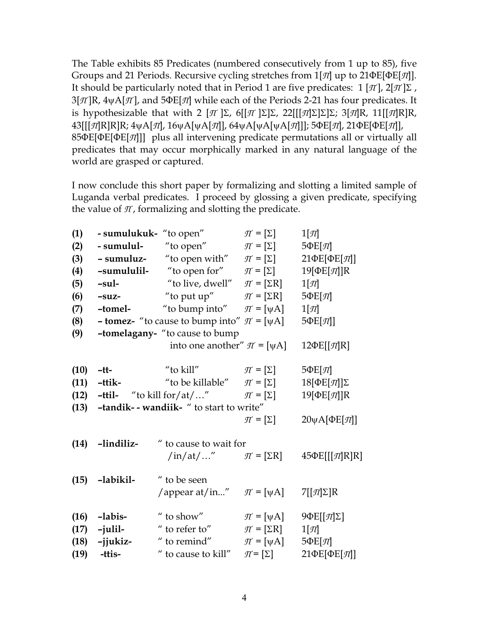The Table exhibits 85 Predicates (numbered consecutively from 1 up to 85), five Groups and 21 Periods. Recursive cycling stretches from 1[*Π*] up to 21ΦE[ΦE[*Π*]]. It should be particularly noted that in Period 1 are five predicates:  $1 [\pi]$ ,  $2[\pi] \Sigma$ , 3[*Π* ]R, 4ψA[*Π* ], and 5ΦE[*Π*] while each of the Periods 2-21 has four predicates. It is hypothesizable that with 2  $[\pi] \Sigma$ , 6 $[[\pi] \Sigma] \Sigma$ , 22 $[[[\pi] \Sigma] \Sigma] \Sigma$ ; 3 $[\pi]$ R, 11 $[[\pi]$ R]R, 43[[[*Π*]R]R]R; 4ψA[*Π*], 16ψA[ψA[*Π*]], 64ψA[ψA[ψA[*Π*]]]; 5ΦE[*Π*], 21ΦE[ΦE[*Π*]], 85ΦE[ΦE[ΦE[*Π*]]] plus all intervening predicate permutations all or virtually all predicates that may occur morphically marked in any natural language of the world are grasped or captured.

I now conclude this short paper by formalizing and slotting a limited sample of Luganda verbal predicates. I proceed by glossing a given predicate, specifying the value of  $\pi$ , formalizing and slotting the predicate.

| (1)  |                                                                             | <b>- sumulukuk-</b> "to open"                                     | $\mathcal{T} = [\Sigma]$                             | $1[\mathcal{T}]$                                 |  |  |
|------|-----------------------------------------------------------------------------|-------------------------------------------------------------------|------------------------------------------------------|--------------------------------------------------|--|--|
| (2)  | - sumulul-                                                                  | "to open"                                                         | $\mathcal{T} = [\Sigma]$                             | $5\Phi E[\mathcal{T}]$                           |  |  |
| (3)  |                                                                             | - sumuluz- "to open with"                                         | $\mathcal{T} = [\Sigma]$                             | $21\Phi$ E[ $\Phi$ E[ $\pi$ ]]                   |  |  |
| (4)  |                                                                             | -sumululil- "to open for"                                         | $\mathcal{T} = [\Sigma]$                             | 19 $[$ $\Phi$ E $[\pi]$ ]R                       |  |  |
| (5)  | $-sul-$                                                                     | "to live, dwell"                                                  | $\mathcal{T} = [\Sigma \mathbf{R}]$                  | $1[\pi]$                                         |  |  |
| (6)  |                                                                             | <b>-suz-</b> "to put up" $\pi = [\Sigma \mathbf{R}]$              |                                                      | $5\Phi E[\mathcal{T}]$                           |  |  |
| (7)  |                                                                             | <b>-tomel-</b> "to bump into" $\pi$ = [ $\psi$ A]                 |                                                      | $1[\pi]$                                         |  |  |
| (8)  |                                                                             | <b>- tomez-</b> "to cause to bump into" $\pi$ = [ $\psi$ A]       |                                                      | $5\Phi E[\mathcal{\pi}]$                         |  |  |
| (9)  | -tomelagany- "to cause to bump                                              |                                                                   |                                                      |                                                  |  |  |
|      |                                                                             | into one another" $\pi$ = [ $\psi$ A]                             |                                                      | $12\Phi E[[\mathcal{T}]\mathbf{R}]$              |  |  |
| (10) | $-tt-$                                                                      | "to kill"                                                         | $\mathcal{T} = \lbrack \Sigma \rbrack$               | $5\Phi E[\pi]$                                   |  |  |
|      |                                                                             | (11) -ttik- "to be killable" $\pi = [\Sigma]$                     |                                                      |                                                  |  |  |
|      |                                                                             |                                                                   |                                                      | 18 [ $\Phi$ E[ $\pi$ ]] $\Sigma$                 |  |  |
|      | (12) -ttil- "to kill for/at/" $\pi = [\Sigma]$<br>$19[$ $\Phi$ E[ $\pi$ ]]R |                                                                   |                                                      |                                                  |  |  |
| (13) | -tandik- - wandiik- " to start to write"                                    |                                                                   |                                                      |                                                  |  |  |
|      |                                                                             |                                                                   | $\mathcal{T} = [\Sigma]$                             | $20\psi A[\Phi E[\pi]]$                          |  |  |
|      |                                                                             |                                                                   |                                                      |                                                  |  |  |
|      | $(14)$ -lindiliz-                                                           | " to cause to wait for                                            |                                                      |                                                  |  |  |
|      |                                                                             | $\int \ln/\mathrm{at}/\dots''$ $\qquad \pi = [\Sigma \mathrm{R}]$ |                                                      | $45\Phi$ E[[[ $\pi$ ]R]R]                        |  |  |
|      | $(15)$ -labikil-                                                            | " to be seen                                                      |                                                      |                                                  |  |  |
|      |                                                                             | /appear at/in" $\pi = [\psi A]$                                   |                                                      | $7[[\mathcal{T}]\Sigma]R$                        |  |  |
|      |                                                                             |                                                                   |                                                      |                                                  |  |  |
| (16) | -labis-                                                                     | $\mathrm{^{\prime\prime}}$ to show $\mathrm{^{\prime\prime}}$     | $\mathcal{T} = [\psi A]$                             | $9\Phi$ E[[ $\pi$ ] $\Sigma$ ]                   |  |  |
|      | $(17)$ -julil-                                                              | $\mathrm{^{\prime\prime}}$ to refer to $\mathrm{^{\prime\prime}}$ | $\mathcal{T} = [\Sigma \mathbf{R}]$                  | $1[\pi]$                                         |  |  |
|      | $(18)$ -jjukiz-<br>$(19)$ -ttis-                                            | " to remind"<br>" to cause to kill"                               | $\mathcal{T} = [\psi A]$<br>$\mathcal{T} = [\Sigma]$ | $5\Phi E[\pi]$<br>$21\Phi$ E[ $\Phi$ E[ $\pi$ ]] |  |  |